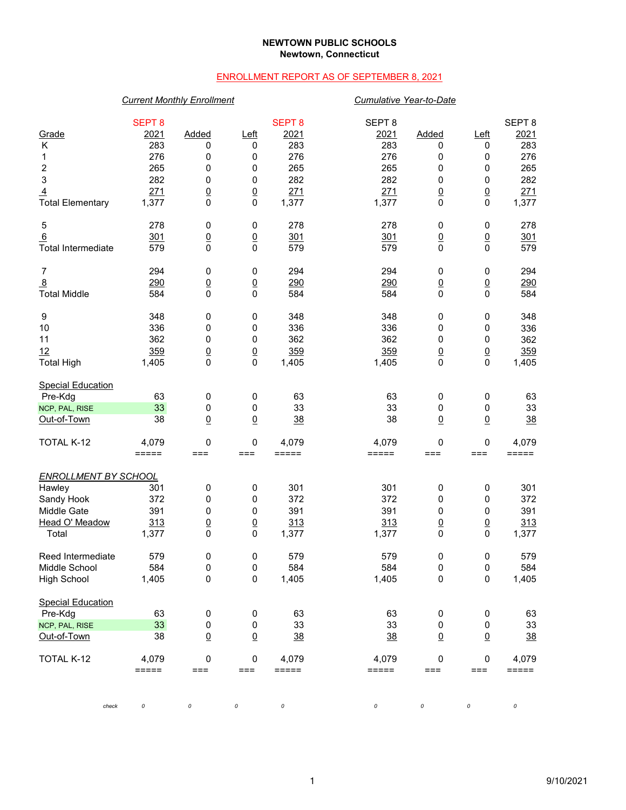### **NEWTOWN PUBLIC SCHOOLS Newtown, Connecticut**

## ENROLLMENT REPORT AS OF SEPTEMBER 8, 2021

## *Current Monthly Enrollment Cumulative Year-to-Date*

|                             | <b>SEPT 8</b> |                 |                 | <b>SEPT 8</b> | SEPT <sub>8</sub> |                 |                 | SEPT <sub>8</sub> |
|-----------------------------|---------------|-----------------|-----------------|---------------|-------------------|-----------------|-----------------|-------------------|
| Grade                       | 2021          | <b>Added</b>    | <u>Left</u>     | 2021          | 2021              | Added           | <u>Left</u>     | 2021              |
| Κ                           | 283           | 0               | 0               | 283           | 283               | 0               | 0               | 283               |
| 1                           | 276           | 0               | 0               | 276           | 276               | 0               | 0               | 276               |
| $\overline{\mathbf{c}}$     | 265           | 0               | 0               | 265           | 265               | 0               | 0               | 265               |
| 3                           | 282           | 0               | 0               | 282           | 282               | 0               | $\pmb{0}$       | 282               |
| $\overline{4}$              | 271           | $\underline{0}$ | $\overline{0}$  | 271           | 271               | $\underline{0}$ | $\underline{0}$ | 271               |
| <b>Total Elementary</b>     | 1,377         | 0               | 0               | 1,377         | 1,377             | $\mathbf 0$     | 0               | 1,377             |
| 5                           | 278           | 0               | 0               | 278           | 278               | 0               | 0               | 278               |
| 6                           | 301           | $\underline{0}$ | $\underline{0}$ | 301           | 301               | $\underline{0}$ | $\underline{0}$ | 301               |
| <b>Total Intermediate</b>   | 579           | 0               | 0               | 579           | 579               | $\pmb{0}$       | $\mathbf 0$     | 579               |
| 7                           | 294           | 0               | 0               | 294           | 294               | 0               | 0               | 294               |
| $\overline{8}$              | 290           | $\underline{0}$ | $\underline{0}$ | 290           | 290               | $\overline{0}$  | $\underline{0}$ | 290               |
| <b>Total Middle</b>         | 584           | 0               | 0               | 584           | 584               | $\mathbf 0$     | 0               | 584               |
| 9                           | 348           | 0               | 0               | 348           | 348               | 0               | 0               | 348               |
| 10                          | 336           | 0               | 0               | 336           | 336               | 0               | 0               | 336               |
| 11                          | 362           | 0               | 0               | 362           | 362               | 0               | $\pmb{0}$       | 362               |
| 12                          | 359           | $\underline{0}$ | $\overline{0}$  | 359           | 359               | $\underline{0}$ | $\underline{0}$ | 359               |
| <b>Total High</b>           | 1,405         | 0               | 0               | 1,405         | 1,405             | $\mathbf 0$     | $\mathbf 0$     | 1,405             |
| <b>Special Education</b>    |               |                 |                 |               |                   |                 |                 |                   |
| Pre-Kdg                     | 63            | 0               | 0               | 63            | 63                | 0               | 0               | 63                |
| NCP, PAL, RISE              | 33            | 0               | 0               | 33            | 33                | 0               | 0               | 33                |
| Out-of-Town                 | 38            | $\underline{0}$ | $\overline{0}$  | 38            | 38                | $\underline{0}$ | $\underline{0}$ | 38                |
| TOTAL K-12                  | 4,079         | 0               | 0               | 4,079         | 4,079             | 0               | 0               | 4,079             |
|                             | $=====$       | $==$            | ===             | $=====$       | $=====$           | ===             | ===             | =====             |
| <b>ENROLLMENT BY SCHOOL</b> |               |                 |                 |               |                   |                 |                 |                   |
| Hawley                      | 301           | 0               | 0               | 301           | 301               | 0               | 0               | 301               |
| Sandy Hook                  | 372           | 0               | 0               | 372           | 372               | 0               | $\pmb{0}$       | 372               |
| Middle Gate                 | 391           | 0               | 0               | 391           | 391               | 0               | 0               | 391               |
| Head O' Meadow              | 313           | $\underline{0}$ | $\overline{0}$  | 313           | 313               | $\underline{0}$ | $\underline{0}$ | 313               |
| Total                       | 1,377         | 0               | 0               | 1,377         | 1,377             | 0               | 0               | 1,377             |
| Reed Intermediate           | 579           | 0               | 0               | 579           | 579               | 0               | 0               | 579               |
| Middle School               | 584           | 0               | 0               | 584           | 584               | 0               | 0               | 584               |
| <b>High School</b>          | 1,405         | $\pmb{0}$       | 0               | 1,405         | 1,405             | $\pmb{0}$       | $\pmb{0}$       | 1,405             |
| <b>Special Education</b>    |               |                 |                 |               |                   |                 |                 |                   |
| Pre-Kdg                     | 63            | $\pmb{0}$       | 0               | 63            | 63                | $\pmb{0}$       | 0               | 63                |
| NCP, PAL, RISE              | 33            | $\pmb{0}$       | 0               | 33            | 33                | $\pmb{0}$       | 0               | 33                |
| Out-of-Town                 | 38            | $\underline{0}$ | $\underline{0}$ | 38            | 38                | $\underline{0}$ | $\underline{0}$ | $\frac{38}{5}$    |
| TOTAL K-12                  | 4,079         | 0               | 0               | 4,079         | 4,079             | $\pmb{0}$       | 0               | 4,079             |
|                             | =====         | $==$            | ===             | =====         | =====             | ===             | $==$            | =====             |
|                             |               |                 |                 |               |                   |                 |                 |                   |
| check                       | 0             | 0               | 0               | 0             | 0                 | 0               | 0               | 0                 |